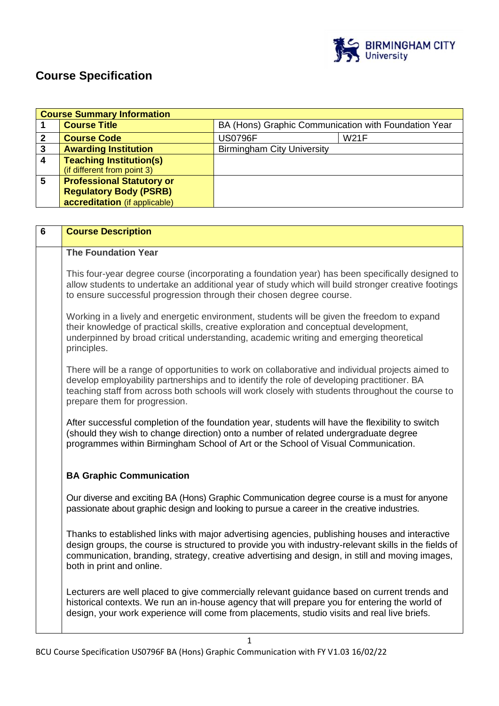

# **Course Specification**

| <b>Course Summary Information</b> |                                  |                                                      |             |  |
|-----------------------------------|----------------------------------|------------------------------------------------------|-------------|--|
|                                   | <b>Course Title</b>              | BA (Hons) Graphic Communication with Foundation Year |             |  |
|                                   | <b>Course Code</b>               | <b>US0796F</b>                                       | <b>W21F</b> |  |
| 3                                 | <b>Awarding Institution</b>      | <b>Birmingham City University</b>                    |             |  |
|                                   | <b>Teaching Institution(s)</b>   |                                                      |             |  |
|                                   | (if different from point 3)      |                                                      |             |  |
| 5                                 | <b>Professional Statutory or</b> |                                                      |             |  |
|                                   | <b>Regulatory Body (PSRB)</b>    |                                                      |             |  |
|                                   | accreditation (if applicable)    |                                                      |             |  |

| $6\phantom{1}$ | <b>Course Description</b>                                                                                                                                                                                                                                                                                                               |
|----------------|-----------------------------------------------------------------------------------------------------------------------------------------------------------------------------------------------------------------------------------------------------------------------------------------------------------------------------------------|
|                | <b>The Foundation Year</b>                                                                                                                                                                                                                                                                                                              |
|                | This four-year degree course (incorporating a foundation year) has been specifically designed to<br>allow students to undertake an additional year of study which will build stronger creative footings<br>to ensure successful progression through their chosen degree course.                                                         |
|                | Working in a lively and energetic environment, students will be given the freedom to expand<br>their knowledge of practical skills, creative exploration and conceptual development,<br>underpinned by broad critical understanding, academic writing and emerging theoretical<br>principles.                                           |
|                | There will be a range of opportunities to work on collaborative and individual projects aimed to<br>develop employability partnerships and to identify the role of developing practitioner. BA<br>teaching staff from across both schools will work closely with students throughout the course to<br>prepare them for progression.     |
|                | After successful completion of the foundation year, students will have the flexibility to switch<br>(should they wish to change direction) onto a number of related undergraduate degree<br>programmes within Birmingham School of Art or the School of Visual Communication.                                                           |
|                | <b>BA Graphic Communication</b>                                                                                                                                                                                                                                                                                                         |
|                | Our diverse and exciting BA (Hons) Graphic Communication degree course is a must for anyone<br>passionate about graphic design and looking to pursue a career in the creative industries.                                                                                                                                               |
|                | Thanks to established links with major advertising agencies, publishing houses and interactive<br>design groups, the course is structured to provide you with industry-relevant skills in the fields of<br>communication, branding, strategy, creative advertising and design, in still and moving images,<br>both in print and online. |
|                | Lecturers are well placed to give commercially relevant guidance based on current trends and<br>historical contexts. We run an in-house agency that will prepare you for entering the world of<br>design, your work experience will come from placements, studio visits and real live briefs.                                           |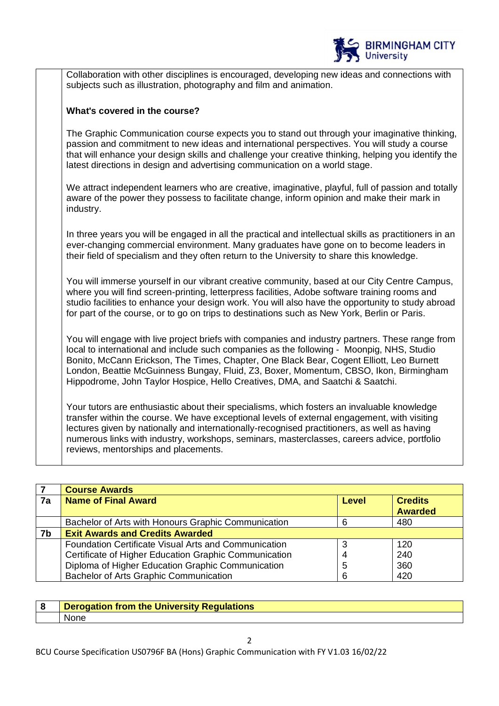

Collaboration with other disciplines is encouraged, developing new ideas and connections with subjects such as illustration, photography and film and animation.

## **What's covered in the course?**

The Graphic Communication course expects you to stand out through your imaginative thinking, passion and commitment to new ideas and international perspectives. You will study a course that will enhance your design skills and challenge your creative thinking, helping you identify the latest directions in design and advertising communication on a world stage.

We attract independent learners who are creative, imaginative, playful, full of passion and totally aware of the power they possess to facilitate change, inform opinion and make their mark in industry.

In three years you will be engaged in all the practical and intellectual skills as practitioners in an ever-changing commercial environment. Many graduates have gone on to become leaders in their field of specialism and they often return to the University to share this knowledge.

You will immerse yourself in our vibrant creative community, based at our City Centre Campus, where you will find screen-printing, letterpress facilities, Adobe software training rooms and studio facilities to enhance your design work. You will also have the opportunity to study abroad for part of the course, or to go on trips to destinations such as New York, Berlin or Paris.

You will engage with live project briefs with companies and industry partners. These range from local to international and include such companies as the following - Moonpig, NHS, Studio Bonito, McCann Erickson, The Times, Chapter, One Black Bear, Cogent Elliott, Leo Burnett London, Beattie McGuinness Bungay, Fluid, Z3, Boxer, Momentum, CBSO, Ikon, Birmingham Hippodrome, John Taylor Hospice, Hello Creatives, DMA, and Saatchi & Saatchi.

Your tutors are enthusiastic about their specialisms, which fosters an invaluable knowledge transfer within the course. We have exceptional levels of external engagement, with visiting lectures given by nationally and internationally-recognised practitioners, as well as having numerous links with industry, workshops, seminars, masterclasses, careers advice, portfolio reviews, mentorships and placements.

|    | <b>Course Awards</b>                                        |       |                |
|----|-------------------------------------------------------------|-------|----------------|
| 7a | <b>Name of Final Award</b>                                  | Level | <b>Credits</b> |
|    |                                                             |       | <b>Awarded</b> |
|    | Bachelor of Arts with Honours Graphic Communication         | 6     | 480            |
| 7b | <b>Exit Awards and Credits Awarded</b>                      |       |                |
|    | <b>Foundation Certificate Visual Arts and Communication</b> |       | 120            |
|    | Certificate of Higher Education Graphic Communication       |       | 240            |
|    | Diploma of Higher Education Graphic Communication           | 5     | 360            |
|    | <b>Bachelor of Arts Graphic Communication</b>               | 6     | 420            |

| <b>Derogation from the University Regulations</b> |
|---------------------------------------------------|
|                                                   |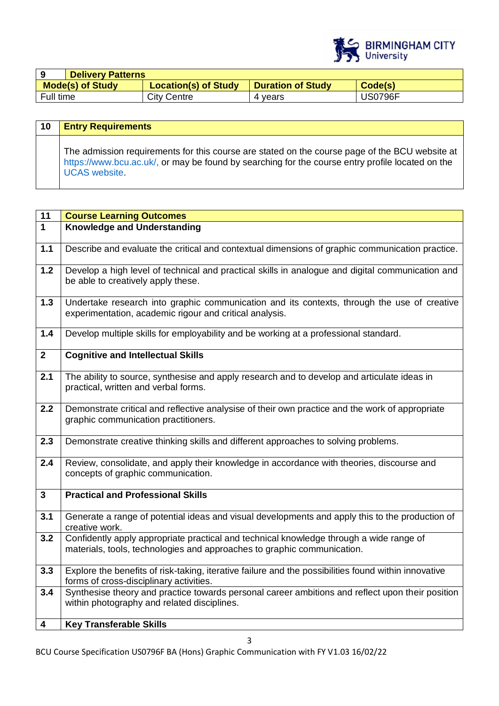

|                         | <b>Delivery Patterns</b> |                             |                          |                |
|-------------------------|--------------------------|-----------------------------|--------------------------|----------------|
| <b>Mode(s) of Study</b> |                          | <b>Location(s) of Study</b> | <b>Duration of Study</b> | Code(s)        |
| Full time               |                          | City Centre                 | 4 vears                  | <b>JS0796F</b> |

| 10 | <b>Entry Requirements</b>                                                                                                                                                                                                  |
|----|----------------------------------------------------------------------------------------------------------------------------------------------------------------------------------------------------------------------------|
|    | The admission requirements for this course are stated on the course page of the BCU website at<br>https://www.bcu.ac.uk/, or may be found by searching for the course entry profile located on the<br><b>UCAS</b> website. |

| 11                      | <b>Course Learning Outcomes</b>                                                                                                                                    |
|-------------------------|--------------------------------------------------------------------------------------------------------------------------------------------------------------------|
| $\overline{1}$          | <b>Knowledge and Understanding</b>                                                                                                                                 |
|                         |                                                                                                                                                                    |
| $1.1$                   | Describe and evaluate the critical and contextual dimensions of graphic communication practice.                                                                    |
| $1.2$                   | Develop a high level of technical and practical skills in analogue and digital communication and                                                                   |
|                         | be able to creatively apply these.                                                                                                                                 |
| $1.3$                   | Undertake research into graphic communication and its contexts, through the use of creative                                                                        |
|                         | experimentation, academic rigour and critical analysis.                                                                                                            |
| $1.4$                   | Develop multiple skills for employability and be working at a professional standard.                                                                               |
| $\overline{2}$          | <b>Cognitive and Intellectual Skills</b>                                                                                                                           |
| 2.1                     | The ability to source, synthesise and apply research and to develop and articulate ideas in<br>practical, written and verbal forms.                                |
|                         |                                                                                                                                                                    |
| 2.2                     | Demonstrate critical and reflective analysise of their own practice and the work of appropriate<br>graphic communication practitioners.                            |
| 2.3                     | Demonstrate creative thinking skills and different approaches to solving problems.                                                                                 |
| 2.4                     | Review, consolidate, and apply their knowledge in accordance with theories, discourse and<br>concepts of graphic communication.                                    |
| $\mathbf{3}$            | <b>Practical and Professional Skills</b>                                                                                                                           |
| 3.1                     | Generate a range of potential ideas and visual developments and apply this to the production of<br>creative work.                                                  |
| 3.2                     | Confidently apply appropriate practical and technical knowledge through a wide range of<br>materials, tools, technologies and approaches to graphic communication. |
| 3.3                     | Explore the benefits of risk-taking, iterative failure and the possibilities found within innovative<br>forms of cross-disciplinary activities.                    |
| 3.4                     | Synthesise theory and practice towards personal career ambitions and reflect upon their position<br>within photography and related disciplines.                    |
| $\overline{\mathbf{4}}$ | <b>Key Transferable Skills</b>                                                                                                                                     |
|                         |                                                                                                                                                                    |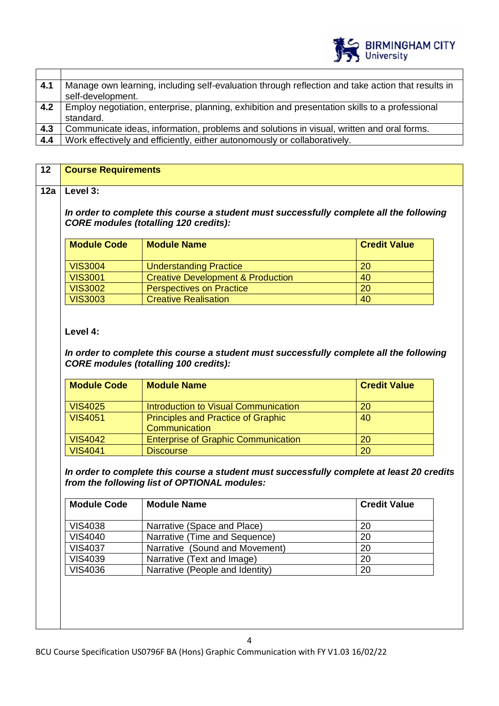

| 4.1 | Manage own learning, including self-evaluation through reflection and take action that results in |
|-----|---------------------------------------------------------------------------------------------------|
|     | self-development.                                                                                 |
| 4.2 | Employ negotiation, enterprise, planning, exhibition and presentation skills to a professional    |
|     | standard.                                                                                         |
| 4.3 | Communicate ideas, information, problems and solutions in visual, written and oral forms.         |
| 4.4 | Work effectively and efficiently, either autonomously or collaboratively.                         |

| 12  | <b>Course Requirements</b>                                                                                                              |                                                                                 |                     |  |
|-----|-----------------------------------------------------------------------------------------------------------------------------------------|---------------------------------------------------------------------------------|---------------------|--|
| 12a | Level 3:                                                                                                                                |                                                                                 |                     |  |
|     | In order to complete this course a student must successfully complete all the following<br><b>CORE modules (totalling 120 credits):</b> |                                                                                 |                     |  |
|     | <b>Module Code</b>                                                                                                                      | <b>Module Name</b>                                                              | <b>Credit Value</b> |  |
|     |                                                                                                                                         |                                                                                 |                     |  |
|     | <b>VIS3004</b><br>VIS3001                                                                                                               | <b>Understanding Practice</b>                                                   | 20<br>40            |  |
|     | <b>VIS3002</b>                                                                                                                          | <b>Creative Development &amp; Production</b><br><b>Perspectives on Practice</b> | 20                  |  |

## **Level 4:**

*In order to complete this course a student must successfully complete all the following CORE modules (totalling 100 credits):*

| <b>Module Code</b> | <b>Module Name</b>                         | <b>Credit Value</b> |
|--------------------|--------------------------------------------|---------------------|
| <b>VIS4025</b>     | Introduction to Visual Communication       | 20                  |
| <b>VIS4051</b>     | <b>Principles and Practice of Graphic</b>  | 40                  |
|                    | Communication                              |                     |
| <b>VIS4042</b>     | <b>Enterprise of Graphic Communication</b> | 20                  |
| <b>VIS4041</b>     | <b>Discourse</b>                           | 20                  |

*In order to complete this course a student must successfully complete at least 20 credits from the following list of OPTIONAL modules:*

| <b>Module Code</b> | <b>Module Name</b>              | <b>Credit Value</b> |
|--------------------|---------------------------------|---------------------|
| <b>VIS4038</b>     | Narrative (Space and Place)     | 20                  |
| <b>VIS4040</b>     | Narrative (Time and Sequence)   | 20                  |
| <b>VIS4037</b>     | Narrative (Sound and Movement)  | 20                  |
| <b>VIS4039</b>     | Narrative (Text and Image)      | 20                  |
| <b>VIS4036</b>     | Narrative (People and Identity) | 20                  |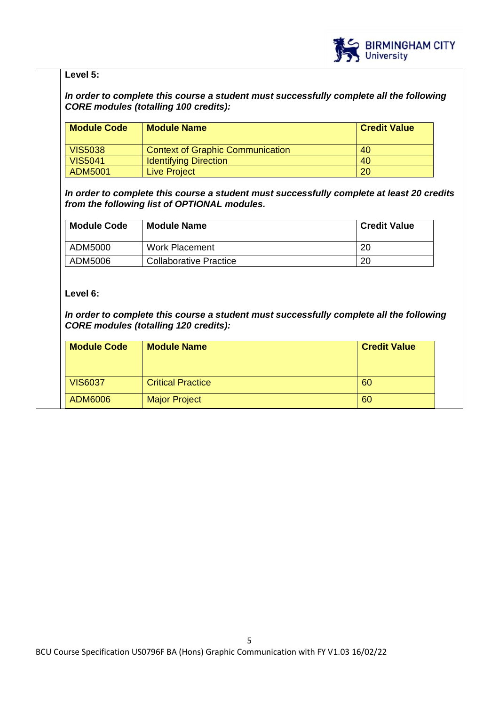

## **Level 5:**

## *In order to complete this course a student must successfully complete all the following CORE modules (totalling 100 credits):*

| <b>Module Code</b> | <b>Module Name</b>                      | <b>Credit Value</b> |
|--------------------|-----------------------------------------|---------------------|
| <b>VIS5038</b>     | <b>Context of Graphic Communication</b> | 40                  |
| <b>VIS5041</b>     | <b>Identifying Direction</b>            | 40                  |
| ADM5001            | <b>Live Project</b>                     | 20                  |

*In order to complete this course a student must successfully complete at least 20 credits from the following list of OPTIONAL modules.* 

| <b>Module Code</b> | <b>Module Name</b>            | <b>Credit Value</b> |
|--------------------|-------------------------------|---------------------|
| ADM5000            | Work Placement                | 20                  |
| ADM5006            | <b>Collaborative Practice</b> | 20                  |

## **Level 6:**

*In order to complete this course a student must successfully complete all the following CORE modules (totalling 120 credits):*

| <b>Module Code</b> | <b>Module Name</b>       | <b>Credit Value</b> |
|--------------------|--------------------------|---------------------|
| <b>VIS6037</b>     | <b>Critical Practice</b> | 60                  |
| ADM6006            | <b>Major Project</b>     | 60                  |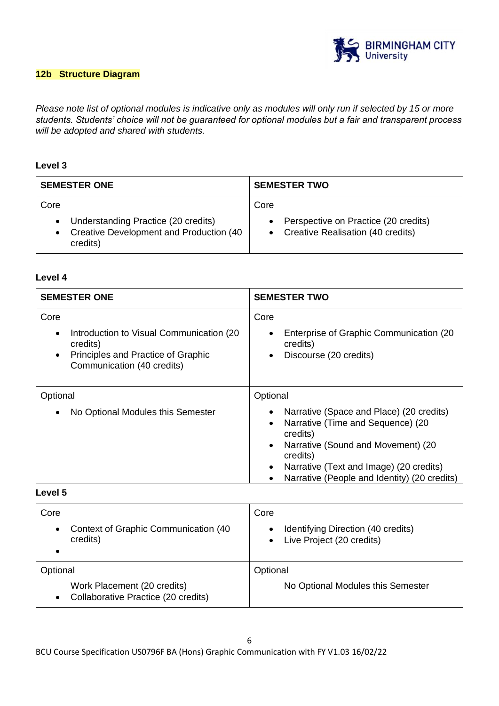

## **12b Structure Diagram**

*Please note list of optional modules is indicative only as modules will only run if selected by 15 or more students. Students' choice will not be guaranteed for optional modules but a fair and transparent process will be adopted and shared with students.*

## **Level 3**

| <b>SEMESTER ONE</b>                                                                                             | <b>SEMESTER TWO</b>                                                                 |
|-----------------------------------------------------------------------------------------------------------------|-------------------------------------------------------------------------------------|
| Core<br>Understanding Practice (20 credits)<br>$\bullet$<br>Creative Development and Production (40<br>credits) | Core<br>Perspective on Practice (20 credits)<br>• Creative Realisation (40 credits) |

#### **Level 4**

| <b>SEMESTER ONE</b>                                                                                                                                         | <b>SEMESTER TWO</b>                                                                                                                                                                                                                                              |
|-------------------------------------------------------------------------------------------------------------------------------------------------------------|------------------------------------------------------------------------------------------------------------------------------------------------------------------------------------------------------------------------------------------------------------------|
| Core<br>Introduction to Visual Communication (20)<br>$\bullet$<br>credits)<br>Principles and Practice of Graphic<br>$\bullet$<br>Communication (40 credits) | Core<br>Enterprise of Graphic Communication (20<br>credits)<br>Discourse (20 credits)<br>$\bullet$                                                                                                                                                               |
| Optional                                                                                                                                                    | Optional                                                                                                                                                                                                                                                         |
| No Optional Modules this Semester<br>$\bullet$                                                                                                              | Narrative (Space and Place) (20 credits)<br>Narrative (Time and Sequence) (20<br>$\bullet$<br>credits)<br>Narrative (Sound and Movement) (20<br>$\bullet$<br>credits)<br>Narrative (Text and Image) (20 credits)<br>Narrative (People and Identity) (20 credits) |

## **Level 5**

| Core                                                                            | Core                                                            |
|---------------------------------------------------------------------------------|-----------------------------------------------------------------|
| Context of Graphic Communication (40<br>$\bullet$<br>credits)                   | Identifying Direction (40 credits)<br>Live Project (20 credits) |
| Optional                                                                        | Optional                                                        |
| Work Placement (20 credits)<br>Collaborative Practice (20 credits)<br>$\bullet$ | No Optional Modules this Semester                               |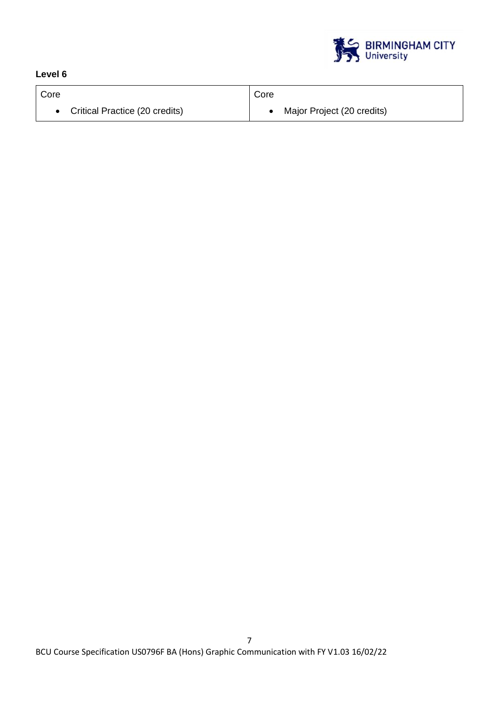

## **Level 6**

| Core                           | Core                       |
|--------------------------------|----------------------------|
| Critical Practice (20 credits) | Major Project (20 credits) |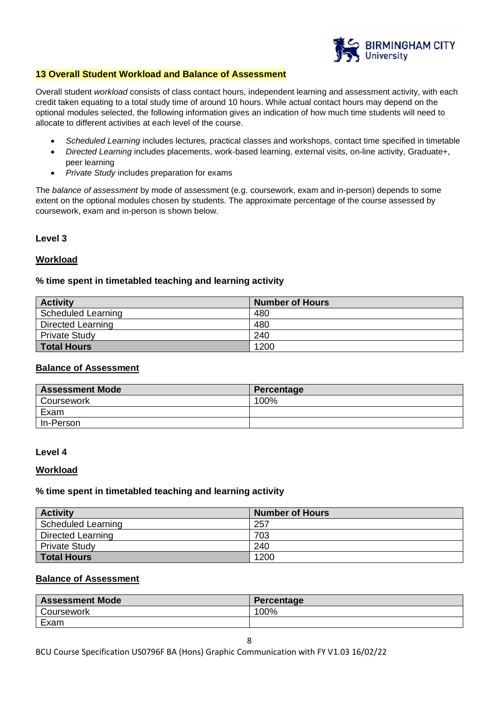

#### **13 Overall Student Workload and Balance of Assessment**

Overall student *workload* consists of class contact hours, independent learning and assessment activity, with each credit taken equating to a total study time of around 10 hours. While actual contact hours may depend on the optional modules selected, the following information gives an indication of how much time students will need to allocate to different activities at each level of the course.

- *Scheduled Learning* includes lectures, practical classes and workshops, contact time specified in timetable
- *Directed Learning* includes placements, work-based learning, external visits, on-line activity, Graduate+, peer learning
- *Private Study* includes preparation for exams

The *balance of assessment* by mode of assessment (e.g. coursework, exam and in-person) depends to some extent on the optional modules chosen by students. The approximate percentage of the course assessed by coursework, exam and in-person is shown below.

## **Level 3**

## **Workload**

## **% time spent in timetabled teaching and learning activity**

| <b>Activity</b>      | <b>Number of Hours</b> |
|----------------------|------------------------|
| Scheduled Learning   | 480                    |
| Directed Learning    | 480                    |
| <b>Private Study</b> | 240                    |
| <b>Total Hours</b>   | 1200                   |

#### **Balance of Assessment**

| <b>Assessment Mode</b> | Percentage |
|------------------------|------------|
| Coursework             | 100%       |
| Exam                   |            |
| In-Person              |            |

#### **Level 4**

#### **Workload**

#### **% time spent in timetabled teaching and learning activity**

| <b>Activity</b>      | <b>Number of Hours</b> |
|----------------------|------------------------|
| Scheduled Learning   | 257                    |
| Directed Learning    | 703                    |
| <b>Private Study</b> | 240                    |
| Total Hours          | 1200                   |

#### **Balance of Assessment**

| <b>Assessment Mode</b> | Percentage |
|------------------------|------------|
| Coursework             | 100%       |
| Exam                   |            |